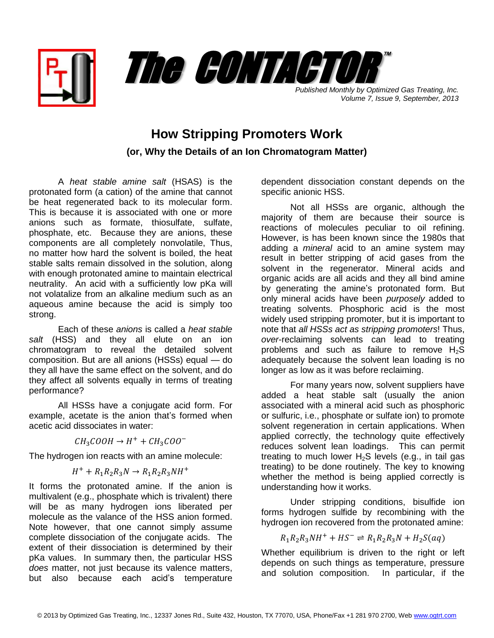



*Published Monthly by Optimized Gas Treating, Inc. Volume 7, Issue 9, September, 2013*

## **How Stripping Promoters Work (or, Why the Details of an Ion Chromatogram Matter)**

A *heat stable amine salt* (HSAS) is the protonated form (a cation) of the amine that cannot be heat regenerated back to its molecular form. This is because it is associated with one or more anions such as formate, thiosulfate, sulfate, phosphate, etc. Because they are anions, these components are all completely nonvolatile, Thus, no matter how hard the solvent is boiled, the heat stable salts remain dissolved in the solution, along with enough protonated amine to maintain electrical neutrality. An acid with a sufficiently low pKa will not volatalize from an alkaline medium such as an aqueous amine because the acid is simply too strong.

Each of these *anions* is called a *heat stable salt* (HSS) and they all elute on an ion chromatogram to reveal the detailed solvent composition. But are all anions (HSSs) equal — do they all have the same effect on the solvent, and do they affect all solvents equally in terms of treating performance?

All HSSs have a conjugate acid form. For example, acetate is the anion that's formed when acetic acid dissociates in water:

$$
CH_3COOH \rightarrow H^+ + CH_3COO^-
$$

The hydrogen ion reacts with an amine molecule:

$$
H^+ + R_1 R_2 R_3 N \rightarrow R_1 R_2 R_3 N H^+
$$

It forms the protonated amine. If the anion is multivalent (e.g., phosphate which is trivalent) there will be as many hydrogen ions liberated per molecule as the valance of the HSS anion formed. Note however, that one cannot simply assume complete dissociation of the conjugate acids. The extent of their dissociation is determined by their pKa values. In summary then, the particular HSS *does* matter, not just because its valence matters, but also because each acid's temperature

dependent dissociation constant depends on the specific anionic HSS.

Not all HSSs are organic, although the majority of them are because their source is reactions of molecules peculiar to oil refining. However, is has been known since the 1980s that adding a *mineral* acid to an amine system may result in better stripping of acid gases from the solvent in the regenerator. Mineral acids and organic acids are all acids and they all bind amine by generating the amine's protonated form. But only mineral acids have been *purposely* added to treating solvents. Phosphoric acid is the most widely used stripping promoter, but it is important to note that *all HSSs act as stripping promoters*! Thus, *over*-reclaiming solvents can lead to treating problems and such as failure to remove  $H_2S$ adequately because the solvent lean loading is no longer as low as it was before reclaiming.

For many years now, solvent suppliers have added a heat stable salt (usually the anion associated with a mineral acid such as phosphoric or sulfuric, i.e., phosphate or sulfate ion) to promote solvent regeneration in certain applications. When applied correctly, the technology quite effectively reduces solvent lean loadings. This can permit treating to much lower  $H_2S$  levels (e.g., in tail gas treating) to be done routinely. The key to knowing whether the method is being applied correctly is understanding how it works.

Under stripping conditions, bisulfide ion forms hydrogen sulfide by recombining with the hydrogen ion recovered from the protonated amine:

$$
R_1R_2R_3NH^+ + HS^- \rightleftharpoons R_1R_2R_3N + H_2S(aq)
$$

Whether equilibrium is driven to the right or left depends on such things as temperature, pressure and solution composition. In particular, if the